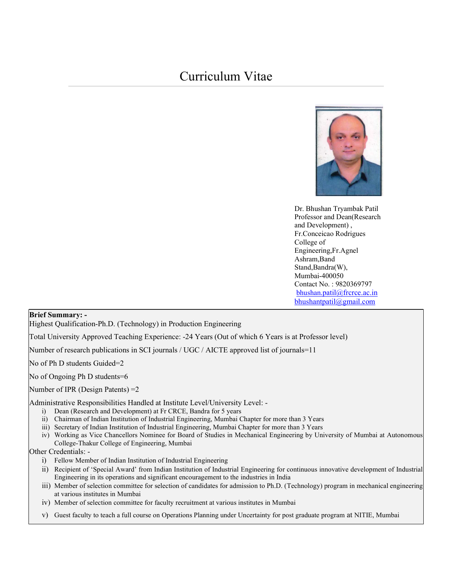

Dr. Bhushan Tryambak Patil Professor and Dean(Research and Development) , Fr.Conceicao Rodrigues College of Engineering,Fr.Agnel Ashram,Band Stand,Bandra(W), Mumbai-400050 Contact No. : 9820369797 bhushan.patil@frcrce.ac.in bhushantpatil@gmail.com

#### Brief Summary: -

Highest Qualification-Ph.D. (Technology) in Production Engineering

Total University Approved Teaching Experience: -24 Years (Out of which 6 Years is at Professor level)

Number of research publications in SCI journals / UGC / AICTE approved list of journals=11

No of Ph D students Guided=2

No of Ongoing Ph D students=6

Number of IPR (Design Patents) =2

Administrative Responsibilities Handled at Institute Level/University Level: -

- i) Dean (Research and Development) at Fr CRCE, Bandra for 5 years
- ii) Chairman of Indian Institution of Industrial Engineering, Mumbai Chapter for more than 3 Years
- iii) Secretary of Indian Institution of Industrial Engineering, Mumbai Chapter for more than 3 Years
- iv) Working as Vice Chancellors Nominee for Board of Studies in Mechanical Engineering by University of Mumbai at Autonomous College-Thakur College of Engineering, Mumbai

#### Other Credentials: -

- i) Fellow Member of Indian Institution of Industrial Engineering
- ii) Recipient of 'Special Award' from Indian Institution of Industrial Engineering for continuous innovative development of Industrial Engineering in its operations and significant encouragement to the industries in India
- iii) Member of selection committee for selection of candidates for admission to Ph.D. (Technology) program in mechanical engineering at various institutes in Mumbai
- iv) Member of selection committee for faculty recruitment at various institutes in Mumbai
- v) Guest faculty to teach a full course on Operations Planning under Uncertainty for post graduate program at NITIE, Mumbai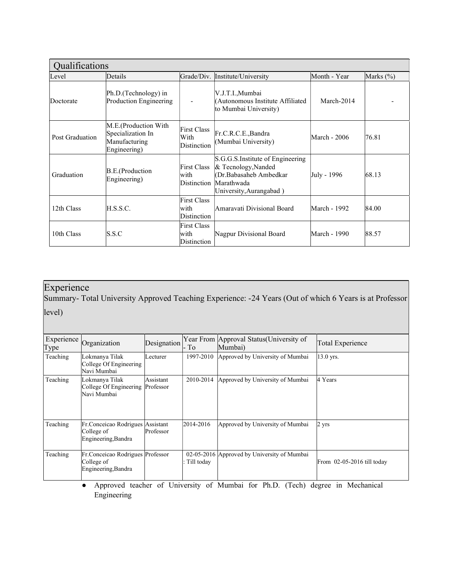| Qualifications  |                                                                            |                                           |                                                                                                                            |              |               |  |
|-----------------|----------------------------------------------------------------------------|-------------------------------------------|----------------------------------------------------------------------------------------------------------------------------|--------------|---------------|--|
| Level           | Details                                                                    | Grade/Div.                                | Institute/University                                                                                                       | Month - Year | Marks $(\% )$ |  |
| Doctorate       | Ph.D. (Technology) in<br>Production Engineering                            |                                           | V.J.T.I.,Mumbai<br>(Autonomous Institute Affiliated<br>to Mumbai University)                                               | March-2014   |               |  |
| Post Graduation | M.E.(Production With<br>Specialization In<br>Manufacturing<br>Engineering) | <b>First Class</b><br>With<br>Distinction | Fr.C.R.C.E.,Bandra<br>(Mumbai University)                                                                                  | March - 2006 | 76.81         |  |
| Graduation      | B.E.(Production<br>Engineering)                                            | <b>First Class</b><br>with<br>Distinction | S.G.G.S.Institute of Engineering<br>& Tecnology, Nanded<br>(Dr.Babasaheb Ambedkar<br>Marathwada<br>University, Aurangabad) | July - 1996  | 68.13         |  |
| 12th Class      | H.S.S.C.                                                                   | <b>First Class</b><br>with<br>Distinction | Amaravati Divisional Board                                                                                                 | March - 1992 | 84.00         |  |
| 10th Class      | S.S.C                                                                      | <b>First Class</b><br>with<br>Distinction | Nagpur Divisional Board                                                                                                    | March - 1990 | 88.57         |  |

# Experience

Summary- Total University Approved Teaching Experience: -24 Years (Out of which 6 Years is at Professor level)

| Type     | Experience Organization                                                | Designation | - To       | Year From Approval Status (University of<br>Mumbai) | Total Experience             |
|----------|------------------------------------------------------------------------|-------------|------------|-----------------------------------------------------|------------------------------|
| Teaching | Lokmanya Tilak<br>College Of Engineering<br>Navi Mumbai                | Lecturer    | 1997-2010  | Approved by University of Mumbai                    | 13.0 yrs.                    |
| Teaching | Lokmanya Tilak<br>College Of Engineering Professor<br>Navi Mumbai      | Assistant   | 2010-2014  | Approved by University of Mumbai                    | 4 Years                      |
| Teaching | Fr. Conceicao Rodrigues Assistant<br>College of<br>Engineering, Bandra | Professor   | 2014-2016  | Approved by University of Mumbai                    | $2 \text{ yrs}$              |
| Teaching | Fr.Conceicao Rodrigues Professor<br>College of<br>Engineering, Bandra  |             | Till today | 02-05-2016 Approved by University of Mumbai         | From $02-05-2016$ till today |

● Approved teacher of University of Mumbai for Ph.D. (Tech) degree in Mechanical Engineering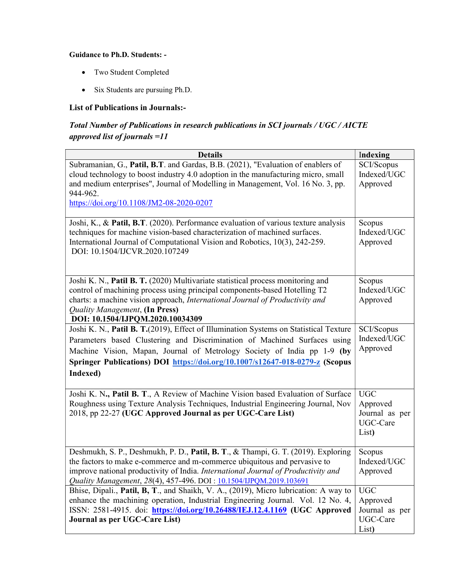## Guidance to Ph.D. Students: -

- Two Student Completed
- Six Students are pursuing Ph.D.

# List of Publications in Journals:-

# Total Number of Publications in research publications in SCI journals / UGC / AICTE approved list of journals =11

| <b>Details</b>                                                                                                                                                                                                                                                                                                                            | Indexing                                                      |
|-------------------------------------------------------------------------------------------------------------------------------------------------------------------------------------------------------------------------------------------------------------------------------------------------------------------------------------------|---------------------------------------------------------------|
| Subramanian, G., Patil, B.T. and Gardas, B.B. (2021), "Evaluation of enablers of<br>cloud technology to boost industry 4.0 adoption in the manufacturing micro, small<br>and medium enterprises", Journal of Modelling in Management, Vol. 16 No. 3, pp.<br>944-962.<br>https://doi.org/10.1108/JM2-08-2020-0207                          | SCI/Scopus<br>Indexed/UGC<br>Approved                         |
| Joshi, K., & Patil, B.T. (2020). Performance evaluation of various texture analysis<br>techniques for machine vision-based characterization of machined surfaces.<br>International Journal of Computational Vision and Robotics, 10(3), 242-259.<br>DOI: 10.1504/IJCVR.2020.107249                                                        | Scopus<br>Indexed/UGC<br>Approved                             |
| Joshi K. N., Patil B. T. (2020) Multivariate statistical process monitoring and<br>control of machining process using principal components-based Hotelling T2<br>charts: a machine vision approach, International Journal of Productivity and<br>Quality Management, (In Press)<br>DOI: 10.1504/IJPQM.2020.10034309                       | Scopus<br>Indexed/UGC<br>Approved                             |
| Joshi K. N., Patil B. T.(2019), Effect of Illumination Systems on Statistical Texture<br>Parameters based Clustering and Discrimination of Machined Surfaces using<br>Machine Vision, Mapan, Journal of Metrology Society of India pp 1-9 (by<br>Springer Publications) DOI https://doi.org/10.1007/s12647-018-0279-z (Scopus<br>Indexed) | SCI/Scopus<br>Indexed/UGC<br>Approved                         |
| Joshi K. N., Patil B. T., A Review of Machine Vision based Evaluation of Surface<br>Roughness using Texture Analysis Techniques, Industrial Engineering Journal, Nov<br>2018, pp 22-27 (UGC Approved Journal as per UGC-Care List)                                                                                                        | <b>UGC</b><br>Approved<br>Journal as per<br>UGC-Care<br>List) |
| Deshmukh, S. P., Deshmukh, P. D., Patil, B. T., & Thampi, G. T. (2019). Exploring<br>the factors to make e-commerce and m-commerce ubiquitous and pervasive to<br>improve national productivity of India. International Journal of Productivity and<br>Quality Management, 28(4), 457-496. DOI: 10.1504/IJPQM.2019.103691                 | Scopus<br>Indexed/UGC<br>Approved                             |
| Bhise, Dipali., Patil, B, T., and Shaikh, V. A., (2019), Micro lubrication: A way to<br>enhance the machining operation, Industrial Engineering Journal. Vol. 12 No. 4,<br>ISSN: 2581-4915. doi: https://doi.org/10.26488/IEJ.12.4.1169 (UGC Approved<br>Journal as per UGC-Care List)                                                    | <b>UGC</b><br>Approved<br>Journal as per<br>UGC-Care<br>List) |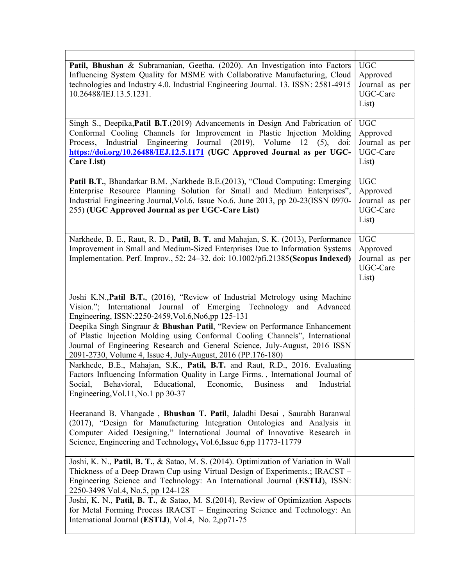| Patil, Bhushan & Subramanian, Geetha. (2020). An Investigation into Factors<br>Influencing System Quality for MSME with Collaborative Manufacturing, Cloud<br>technologies and Industry 4.0. Industrial Engineering Journal. 13. ISSN: 2581-4915<br>10.26488/IEJ.13.5.1231.                                                                   | <b>UGC</b><br>Approved<br>Journal as per<br>UGC-Care<br>List) |
|-----------------------------------------------------------------------------------------------------------------------------------------------------------------------------------------------------------------------------------------------------------------------------------------------------------------------------------------------|---------------------------------------------------------------|
| Singh S., Deepika, Patil B.T. (2019) Advancements in Design And Fabrication of<br>Conformal Cooling Channels for Improvement in Plastic Injection Molding<br>Industrial Engineering Journal (2019), Volume<br>12<br>$(5)$ , doi:<br>Process,<br>https://doi.org/10.26488/IEJ.12.5.1171 (UGC Approved Journal as per UGC-<br><b>Care List)</b> | <b>UGC</b><br>Approved<br>Journal as per<br>UGC-Care<br>List) |
| Patil B.T., Bhandarkar B.M. , Narkhede B.E.(2013), "Cloud Computing: Emerging<br>Enterprise Resource Planning Solution for Small and Medium Enterprises",<br>Industrial Engineering Journal, Vol.6, Issue No.6, June 2013, pp 20-23(ISSN 0970-<br>255) (UGC Approved Journal as per UGC-Care List)                                            | <b>UGC</b><br>Approved<br>Journal as per<br>UGC-Care<br>List) |
| Narkhede, B. E., Raut, R. D., Patil, B. T. and Mahajan, S. K. (2013), Performance<br>Improvement in Small and Medium-Sized Enterprises Due to Information Systems<br>Implementation. Perf. Improv., 52: 24-32. doi: 10.1002/pfi.21385(Scopus Indexed)                                                                                         | <b>UGC</b><br>Approved<br>Journal as per<br>UGC-Care<br>List) |
| Joshi K.N., Patil B.T., (2016), "Review of Industrial Metrology using Machine<br>Vision."; International Journal of Emerging Technology and Advanced<br>Engineering, ISSN:2250-2459, Vol.6, No6, pp 125-131                                                                                                                                   |                                                               |
| Deepika Singh Singraur & Bhushan Patil, "Review on Performance Enhancement<br>of Plastic Injection Molding using Conformal Cooling Channels", International<br>Journal of Engineering Research and General Science, July-August, 2016 ISSN<br>2091-2730, Volume 4, Issue 4, July-August, 2016 (PP.176-180)                                    |                                                               |
| Narkhede, B.E., Mahajan, S.K., Patil, B.T. and Raut, R.D., 2016. Evaluating<br>Factors Influencing Information Quality in Large Firms., International Journal of<br>Social, Behavioral, Educational, Economic, Business and Industrial<br>Engineering, Vol. 11, No. 1 pp 30-37                                                                |                                                               |
| Heeranand B. Vhangade, Bhushan T. Patil, Jaladhi Desai, Saurabh Baranwal<br>(2017), "Design for Manufacturing Integration Ontologies and Analysis in<br>Computer Aided Designing," International Journal of Innovative Research in<br>Science, Engineering and Technology, Vol.6, Issue 6,pp 11773-11779                                      |                                                               |
| Joshi, K. N., Patil, B. T., & Satao, M. S. (2014). Optimization of Variation in Wall<br>Thickness of a Deep Drawn Cup using Virtual Design of Experiments.; IRACST -<br>Engineering Science and Technology: An International Journal (ESTIJ), ISSN:<br>2250-3498 Vol.4, No.5, pp 124-128                                                      |                                                               |
| Joshi, K. N., Patil, B. T., & Satao, M. S.(2014), Review of Optimization Aspects<br>for Metal Forming Process IRACST - Engineering Science and Technology: An<br>International Journal (ESTIJ), Vol.4, No. 2,pp71-75                                                                                                                          |                                                               |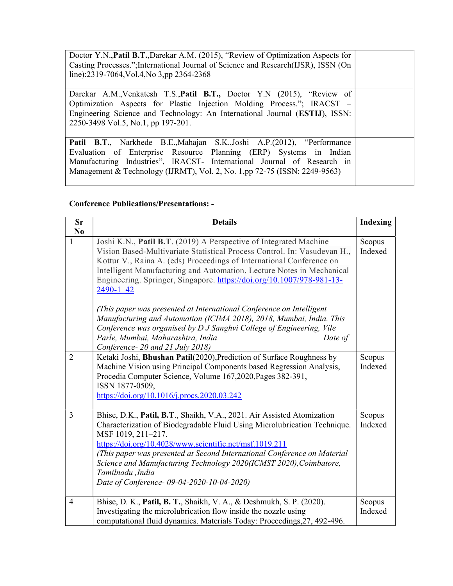Doctor Y.N.,Patil B.T.,Darekar A.M. (2015), "Review of Optimization Aspects for Casting Processes.";International Journal of Science and Research(IJSR), ISSN (On line):2319-7064,Vol.4,No 3,pp 2364-2368

Darekar A.M.,Venkatesh T.S.,Patil B.T., Doctor Y.N (2015), "Review of Optimization Aspects for Plastic Injection Molding Process."; IRACST – Engineering Science and Technology: An International Journal (ESTIJ), ISSN: 2250-3498 Vol.5, No.1, pp 197-201.

Patil B.T., Narkhede B.E.,Mahajan S.K.,Joshi A.P.(2012), "Performance Evaluation of Enterprise Resource Planning (ERP) Systems in Indian Manufacturing Industries", IRACST- International Journal of Research in Management & Technology (IJRMT), Vol. 2, No. 1,pp 72-75 (ISSN: 2249-9563)

# Conference Publications/Presentations: -

| <b>Sr</b>      | <b>Details</b>                                                                                                                                                                                                                                                                                                                                                                                                                                                                                                                                                                                                                                                                                   | <b>Indexing</b>   |
|----------------|--------------------------------------------------------------------------------------------------------------------------------------------------------------------------------------------------------------------------------------------------------------------------------------------------------------------------------------------------------------------------------------------------------------------------------------------------------------------------------------------------------------------------------------------------------------------------------------------------------------------------------------------------------------------------------------------------|-------------------|
| No             |                                                                                                                                                                                                                                                                                                                                                                                                                                                                                                                                                                                                                                                                                                  |                   |
| 1              | Joshi K.N., Patil B.T. (2019) A Perspective of Integrated Machine<br>Vision Based-Multivariate Statistical Process Control. In: Vasudevan H.,<br>Kottur V., Raina A. (eds) Proceedings of International Conference on<br>Intelligent Manufacturing and Automation. Lecture Notes in Mechanical<br>Engineering. Springer, Singapore. https://doi.org/10.1007/978-981-13-<br>2490-1 42<br>(This paper was presented at International Conference on Intelligent<br>Manufacturing and Automation (ICIMA 2018), 2018, Mumbai, India. This<br>Conference was organised by D J Sanghvi College of Engineering, Vile<br>Parle, Mumbai, Maharashtra, India<br>Date of<br>Conference- 20 and 21 July 2018) | Scopus<br>Indexed |
| $\overline{2}$ | Ketaki Joshi, Bhushan Patil(2020), Prediction of Surface Roughness by<br>Machine Vision using Principal Components based Regression Analysis,<br>Procedia Computer Science, Volume 167,2020, Pages 382-391,<br>ISSN 1877-0509,<br>https://doi.org/10.1016/j.procs.2020.03.242                                                                                                                                                                                                                                                                                                                                                                                                                    | Scopus<br>Indexed |
| $\overline{3}$ | Bhise, D.K., Patil, B.T., Shaikh, V.A., 2021. Air Assisted Atomization<br>Characterization of Biodegradable Fluid Using Microlubrication Technique.<br>MSF 1019, 211-217.<br>https://doi.org/10.4028/www.scientific.net/msf.1019.211<br>(This paper was presented at Second International Conference on Material<br>Science and Manufacturing Technology 2020(ICMST 2020), Coimbatore,<br>Tamilnadu ,India<br>Date of Conference-09-04-2020-10-04-2020)                                                                                                                                                                                                                                          | Scopus<br>Indexed |
| $\overline{4}$ | Bhise, D. K., Patil, B. T., Shaikh, V. A., & Deshmukh, S. P. (2020).<br>Investigating the microlubrication flow inside the nozzle using<br>computational fluid dynamics. Materials Today: Proceedings, 27, 492-496.                                                                                                                                                                                                                                                                                                                                                                                                                                                                              | Scopus<br>Indexed |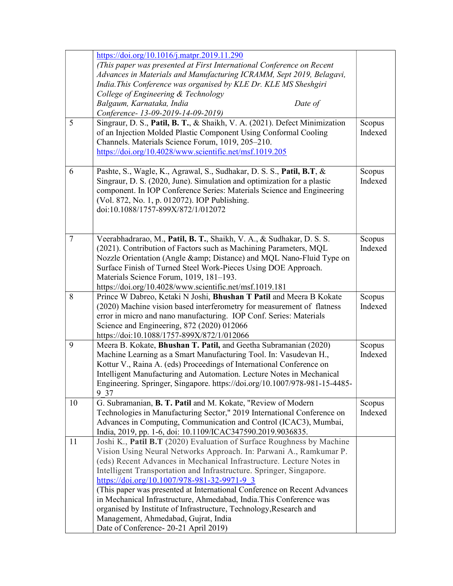|    | https://doi.org/10.1016/j.matpr.2019.11.290                                |         |
|----|----------------------------------------------------------------------------|---------|
|    | (This paper was presented at First International Conference on Recent      |         |
|    | Advances in Materials and Manufacturing ICRAMM, Sept 2019, Belagavi,       |         |
|    | India.This Conference was organised by KLE Dr. KLE MS Sheshgiri            |         |
|    | College of Engineering & Technology                                        |         |
|    | Date of<br>Balgaum, Karnataka, India                                       |         |
|    | Conference-13-09-2019-14-09-2019)                                          |         |
| 5  | Singraur, D. S., Patil, B. T., & Shaikh, V. A. (2021). Defect Minimization | Scopus  |
|    | of an Injection Molded Plastic Component Using Conformal Cooling           | Indexed |
|    | Channels. Materials Science Forum, 1019, 205-210.                          |         |
|    | https://doi.org/10.4028/www.scientific.net/msf.1019.205                    |         |
|    |                                                                            |         |
| 6  | Pashte, S., Wagle, K., Agrawal, S., Sudhakar, D. S. S., Patil, B.T, &      | Scopus  |
|    | Singraur, D. S. (2020, June). Simulation and optimization for a plastic    | Indexed |
|    | component. In IOP Conference Series: Materials Science and Engineering     |         |
|    | (Vol. 872, No. 1, p. 012072). IOP Publishing.                              |         |
|    | doi:10.1088/1757-899X/872/1/012072                                         |         |
|    |                                                                            |         |
|    |                                                                            |         |
| 7  | Veerabhadrarao, M., Patil, B. T., Shaikh, V. A., & Sudhakar, D. S. S.      | Scopus  |
|    | (2021). Contribution of Factors such as Machining Parameters, MQL          | Indexed |
|    | Nozzle Orientation (Angle & Distance) and MQL Nano-Fluid Type on           |         |
|    | Surface Finish of Turned Steel Work-Pieces Using DOE Approach.             |         |
|    | Materials Science Forum, 1019, 181-193.                                    |         |
|    | https://doi.org/10.4028/www.scientific.net/msf.1019.181                    |         |
| 8  | Prince W Dabreo, Ketaki N Joshi, Bhushan T Patil and Meera B Kokate        | Scopus  |
|    | (2020) Machine vision based interferometry for measurement of flatness     | Indexed |
|    | error in micro and nano manufacturing. IOP Conf. Series: Materials         |         |
|    | Science and Engineering, 872 (2020) 012066                                 |         |
|    | https://doi:10.1088/1757-899X/872/1/012066                                 |         |
| 9  | Meera B. Kokate, Bhushan T. Patil, and Geetha Subramanian (2020)           | Scopus  |
|    | Machine Learning as a Smart Manufacturing Tool. In: Vasudevan H.,          | Indexed |
|    | Kottur V., Raina A. (eds) Proceedings of International Conference on       |         |
|    | Intelligent Manufacturing and Automation. Lecture Notes in Mechanical      |         |
|    | Engineering. Springer, Singapore. https://doi.org/10.1007/978-981-15-4485- |         |
|    | 9 37                                                                       |         |
| 10 | G. Subramanian, B. T. Patil and M. Kokate, "Review of Modern               | Scopus  |
|    | Technologies in Manufacturing Sector," 2019 International Conference on    | Indexed |
|    | Advances in Computing, Communication and Control (ICAC3), Mumbai,          |         |
|    | India, 2019, pp. 1-6, doi: 10.1109/ICAC347590.2019.9036835.                |         |
| 11 | Joshi K., Patil B.T (2020) Evaluation of Surface Roughness by Machine      |         |
|    | Vision Using Neural Networks Approach. In: Parwani A., Ramkumar P.         |         |
|    | (eds) Recent Advances in Mechanical Infrastructure. Lecture Notes in       |         |
|    | Intelligent Transportation and Infrastructure. Springer, Singapore.        |         |
|    | https://doi.org/10.1007/978-981-32-9971-9 3                                |         |
|    | (This paper was presented at International Conference on Recent Advances   |         |
|    | in Mechanical Infrastructure, Ahmedabad, India. This Conference was        |         |
|    | organised by Institute of Infrastructure, Technology, Research and         |         |
|    | Management, Ahmedabad, Gujrat, India                                       |         |
|    | Date of Conference-20-21 April 2019)                                       |         |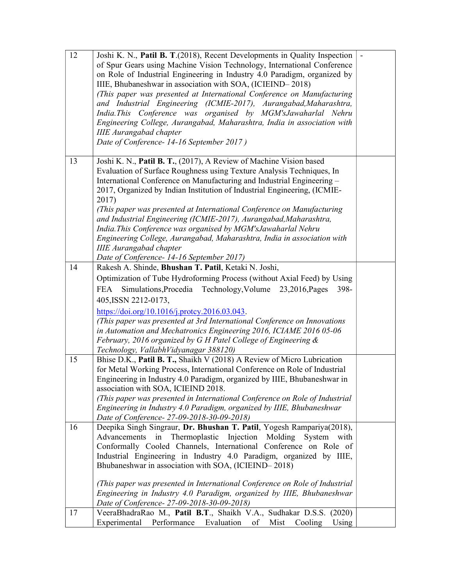| 12 | Joshi K. N., Patil B. T.(2018), Recent Developments in Quality Inspection<br>of Spur Gears using Machine Vision Technology, International Conference<br>on Role of Industrial Engineering in Industry 4.0 Paradigm, organized by<br>IIIE, Bhubaneshwar in association with SOA, (ICIEIND-2018)<br>(This paper was presented at International Conference on Manufacturing<br>and Industrial Engineering (ICMIE-2017), Aurangabad, Maharashtra,<br>India.This Conference was organised by MGM'sJawaharlal Nehru<br>Engineering College, Aurangabad, Maharashtra, India in association with<br><b>IIIE</b> Aurangabad chapter<br>Date of Conference-14-16 September 2017)              |  |
|----|-------------------------------------------------------------------------------------------------------------------------------------------------------------------------------------------------------------------------------------------------------------------------------------------------------------------------------------------------------------------------------------------------------------------------------------------------------------------------------------------------------------------------------------------------------------------------------------------------------------------------------------------------------------------------------------|--|
| 13 | Joshi K. N., Patil B. T., (2017), A Review of Machine Vision based<br>Evaluation of Surface Roughness using Texture Analysis Techniques, In<br>International Conference on Manufacturing and Industrial Engineering -<br>2017, Organized by Indian Institution of Industrial Engineering, (ICMIE-<br>2017)<br>(This paper was presented at International Conference on Manufacturing<br>and Industrial Engineering (ICMIE-2017), Aurangabad, Maharashtra,<br>India. This Conference was organised by MGM'sJawaharlal Nehru<br>Engineering College, Aurangabad, Maharashtra, India in association with<br><b>IIIE</b> Aurangabad chapter<br>Date of Conference-14-16 September 2017) |  |
| 14 | Rakesh A. Shinde, Bhushan T. Patil, Ketaki N. Joshi,<br>Optimization of Tube Hydroforming Process (without Axial Feed) by Using<br>Simulations, Procedia Technology, Volume 23, 2016, Pages<br>FEA<br>398-<br>405, ISSN 2212-0173,<br>https://doi.org/10.1016/j.protcy.2016.03.043.<br>(This paper was presented at 3rd International Conference on Innovations<br>in Automation and Mechatronics Engineering 2016, ICIAME 2016 05-06<br>February, 2016 organized by G H Patel College of Engineering &<br>Technology, VallabhVidyanagar 388120)                                                                                                                                    |  |
| 15 | Bhise D.K., Patil B. T., Shaikh V (2018) A Review of Micro Lubrication<br>for Metal Working Process, International Conference on Role of Industrial<br>Engineering in Industry 4.0 Paradigm, organized by IIIE, Bhubaneshwar in<br>association with SOA, ICIEIND 2018.<br>(This paper was presented in International Conference on Role of Industrial<br>Engineering in Industry 4.0 Paradigm, organized by IIIE, Bhubaneshwar<br>Date of Conference-27-09-2018-30-09-2018)                                                                                                                                                                                                         |  |
| 16 | Deepika Singh Singraur, Dr. Bhushan T. Patil, Yogesh Rampariya(2018),<br>Thermoplastic<br>Injection<br>Advancements in<br>Molding<br>System with<br>Conformally Cooled Channels, International Conference on Role of<br>Industrial Engineering in Industry 4.0 Paradigm, organized by IIIE,<br>Bhubaneshwar in association with SOA, (ICIEIND-2018)<br>(This paper was presented in International Conference on Role of Industrial<br>Engineering in Industry 4.0 Paradigm, organized by IIIE, Bhubaneshwar<br>Date of Conference-27-09-2018-30-09-2018)                                                                                                                            |  |
| 17 | VeeraBhadraRao M., Patil B.T., Shaikh V.A., Sudhakar D.S.S. (2020)<br>Experimental Performance Evaluation<br>Mist<br>of<br>Cooling<br>Using                                                                                                                                                                                                                                                                                                                                                                                                                                                                                                                                         |  |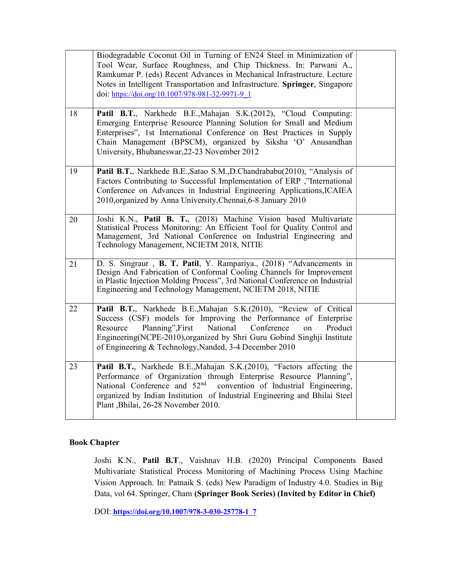|    | Biodegradable Coconut Oil in Turning of EN24 Steel in Minimization of<br>Tool Wear, Surface Roughness, and Chip Thickness. In: Parwani A.,<br>Ramkumar P. (eds) Recent Advances in Mechanical Infrastructure. Lecture<br>Notes in Intelligent Transportation and Infrastructure. Springer, Singapore<br>doi: https://doi.org/10.1007/978-981-32-9971-9 1 |  |
|----|----------------------------------------------------------------------------------------------------------------------------------------------------------------------------------------------------------------------------------------------------------------------------------------------------------------------------------------------------------|--|
| 18 | Patil B.T., Narkhede B.E., Mahajan S.K. (2012), "Cloud Computing:<br>Emerging Enterprise Resource Planning Solution for Small and Medium<br>Enterprises", 1st International Conference on Best Practices in Supply<br>Chain Management (BPSCM), organized by Siksha 'O' Anusandhan<br>University, Bhubaneswar, 22-23 November 2012                       |  |
| 19 | Patil B.T., Narkhede B.E., Satao S.M., D.Chandrababu(2010), "Analysis of<br>Factors Contributing to Successful Implementation of ERP ,"International<br>Conference on Advances in Industrial Engineering Applications, ICAIEA<br>2010, organized by Anna University, Chennai, 6-8 January 2010                                                           |  |
| 20 | Joshi K.N., Patil B. T., (2018) Machine Vision based Multivariate<br>Statistical Process Monitoring: An Efficient Tool for Quality Control and<br>Management, 3rd National Conference on Industrial Engineering and<br>Technology Management, NCIETM 2018, NITIE                                                                                         |  |
| 21 | D. S. Singraur, B. T. Patil, Y. Rampariya., (2018) "Advancements in<br>Design And Fabrication of Conformal Cooling Channels for Improvement<br>in Plastic Injection Molding Process", 3rd National Conference on Industrial<br>Engineering and Technology Management, NCIETM 2018, NITIE                                                                 |  |
| 22 | Patil B.T., Narkhede B.E., Mahajan S.K. (2010), "Review of Critical<br>Success (CSF) models for Improving the Performance of Enterprise<br>Resource<br>Planning", First<br>National<br>Conference<br>Product<br>on<br>Engineering (NCPE-2010), organized by Shri Guru Gobind Singhji Institute<br>of Engineering & Technology, Nanded, 3-4 December 2010 |  |
| 23 | Patil B.T., Narkhede B.E., Mahajan S.K. (2010), "Factors affecting the<br>Performance of Organization through Enterprise Resource Planning",<br>National Conference and 52 <sup>nd</sup><br>convention of Industrial Engineering,<br>organized by Indian Institution of Industrial Engineering and Bhilai Steel<br>Plant , Bhilai, 26-28 November 2010.  |  |

# Book Chapter

Joshi K.N., Patil B.T., Vaishnav H.B. (2020) Principal Components Based Multivariate Statistical Process Monitoring of Machining Process Using Machine Vision Approach. In: Patnaik S. (eds) New Paradigm of Industry 4.0. Studies in Big Data, vol 64. Springer, Cham (Springer Book Series) (Invited by Editor in Chief)

DOI: https://doi.org/10.1007/978-3-030-25778-1\_7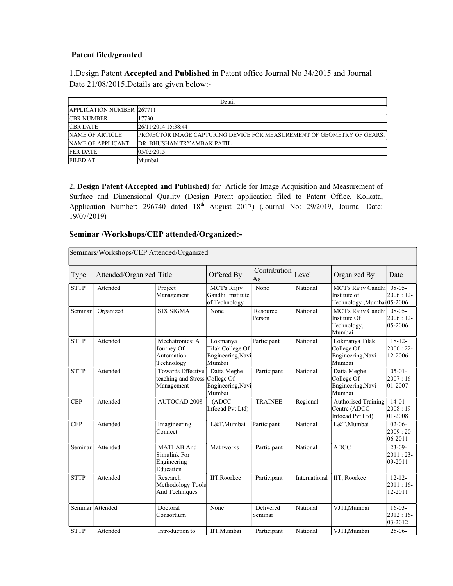# Patent filed/granted

1.Design Patent Accepted and Published in Patent office Journal No 34/2015 and Journal Date 21/08/2015.Details are given below:-

| Detail                           |                                                                        |  |  |  |  |
|----------------------------------|------------------------------------------------------------------------|--|--|--|--|
| <b>APPLICATION NUMBER 267711</b> |                                                                        |  |  |  |  |
| <b>CBR NUMBER</b>                | 17730                                                                  |  |  |  |  |
| <b>CBR DATE</b>                  | 26/11/2014 15:38:44                                                    |  |  |  |  |
| NAME OF ARTICLE                  | PROJECTOR IMAGE CAPTURING DEVICE FOR MEASUREMENT OF GEOMETRY OF GEARS. |  |  |  |  |
| NAME OF APPLICANT                | DR. BHUSHAN TRYAMBAK PATIL                                             |  |  |  |  |
| <b>FER DATE</b>                  | 05/02/2015                                                             |  |  |  |  |
| <b>FILED AT</b>                  | Mumbai                                                                 |  |  |  |  |

2. Design Patent (Accepted and Published) for Article for Image Acquisition and Measurement of Surface and Dimensional Quality (Design Patent application filed to Patent Office, Kolkata, Application Number: 296740 dated 18<sup>th</sup> August 2017) (Journal No: 29/2019, Journal Date: 19/07/2019)

# Seminar /Workshops/CEP attended/Organized:-

| Seminars/Workshops/CEP Attended/Organized |                          |                                                           |                                                             |                      |               |                                                                  |                                         |
|-------------------------------------------|--------------------------|-----------------------------------------------------------|-------------------------------------------------------------|----------------------|---------------|------------------------------------------------------------------|-----------------------------------------|
| Type                                      | Attended/Organized Title |                                                           | Offered By                                                  | Contribution<br>As   | Level         | Organized By                                                     | Date                                    |
| <b>STTP</b>                               | Attended                 | Project<br>Management                                     | MCT's Rajiv<br>Gandhi Imstitute<br>of Technology            | None                 | National      | MCT's Rajiv Gandhi<br>Institute of<br>Technology ,Mumbai 05-2006 | $08-05-$<br>$2006:12-$                  |
| Seminar                                   | Organized                | <b>SIX SIGMA</b>                                          | None                                                        | Resource<br>Person   | National      | MCT's Rajiv Gandhi<br>Institute Of<br>Technology,<br>Mumbai      | $08-05-$<br>$2006:12-$<br>$ 05 - 2006 $ |
| <b>STTP</b>                               | Attended                 | Mechatronics: A<br>Journey Of<br>Automation<br>Technology | Lokmanya<br>Tilak College Of<br>Engineering, Navi<br>Mumbai | Participant          | National      | Lokmanya Tilak<br>College Of<br>Engineering, Navi<br>Mumbai      | $18-12-$<br>$2006:22$ -<br>12-2006      |
| <b>STTP</b>                               | Attended                 | Towards Effective<br>teaching and Stress<br>Management    | Datta Meghe<br>College Of<br>Engineering, Navi<br>Mumbai    | Participant          | National      | Datta Meghe<br>College Of<br>Engineering, Navi<br>Mumbai         | $05-01-$<br>$2007:16-$<br>$ 01 - 2007$  |
| <b>CEP</b>                                | Attended                 | <b>AUTOCAD 2008</b>                                       | (ADC)<br>Infocad Pvt Ltd)                                   | <b>TRAINEE</b>       | Regional      | <b>Authorised Training</b><br>Centre (ADCC<br>Infocad Pvt Ltd)   | $14-01-$<br>$2008:19-$<br>01-2008       |
| <b>CEP</b>                                | Attended                 | Imagineering<br>Connect                                   | L&T,Mumbai                                                  | Participant          | National      | L&T,Mumbai                                                       | $02-06-$<br>$2009:20-$<br>$ 06-2011$    |
| Seminar                                   | Attended                 | MATLAB And<br>Simulink For<br>Engineering<br>Education    | Mathworks                                                   | Participant          | National      | <b>ADCC</b>                                                      | $23-09-$<br>$2011:23-$<br>$ 09-2011$    |
| <b>STTP</b>                               | Attended                 | Research<br>Methodology:Tools<br>And Techniques           | IIT.Roorkee                                                 | Participant          | International | IIT, Roorkee                                                     | $12 - 12 -$<br>$2011:16-$<br>12-2011    |
|                                           | Seminar Attended         | Doctoral<br>Consortium                                    | None                                                        | Delivered<br>Seminar | National      | VJTI,Mumbai                                                      | $16-03-$<br>$2012:16-$<br>$ 03 - 2012 $ |
| <b>STTP</b>                               | Attended                 | Introduction to                                           | IIT.Mumbai                                                  | Participant          | National      | VJTI.Mumbai                                                      | $25-06-$                                |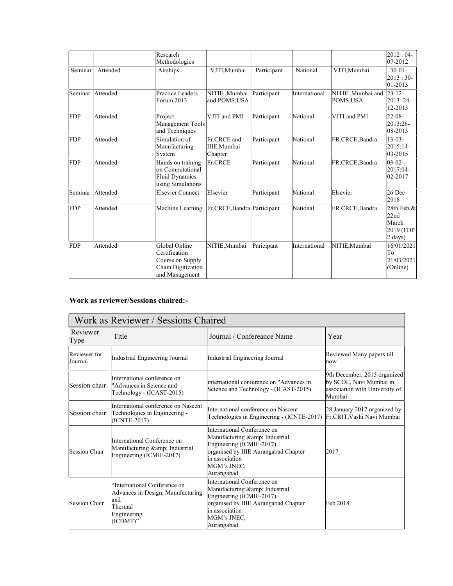|            |          | Research<br>Methodologies                                                                  |                                        |             |               |                               | $2012:04-$<br>$ 07 - 2012 $                                  |
|------------|----------|--------------------------------------------------------------------------------------------|----------------------------------------|-------------|---------------|-------------------------------|--------------------------------------------------------------|
| Seminar    | Attended | Airships                                                                                   | VJTI.Mumbai                            | Participant | National      | VJTI,Mumbai                   | $30-01-$<br>$2013:30-$<br>$01 - 2013$                        |
| Seminar    | Attended | Practice Leaders<br>Forum 2013                                                             | NITIE ,Mumbai<br>and POMS, USA         | Participant | International | NITIE, Mumbai and<br>POMS,USA | $23 - 12$<br>2013:24-<br>12-2013                             |
| FDP        | Attended | Project<br>Management Tools<br>and Techniques                                              | VJTI and PMI                           | Participant | National      | VJTI and PMI                  | $22 - 08 -$<br>2013:26-<br>$ 08 - 2013$                      |
| FDP        | Attended | Simulation of<br>Manufacturing<br>System                                                   | Fr.CRCE and<br>IIIE, Mumbai<br>Chapter | Participant | National      | FR.CRCE, Bandra               | $13-03-$<br>2015:14-<br>$ 03 - 2015$                         |
| FDP        | Attended | Hands on training<br>on Computational<br>Fluid Dynamics<br>using Simulations               | Fr.CRCE                                | Participant | National      | FR.CRCE, Bandra               | $03-02-$<br>2017:04-<br>$ 02 - 2017$                         |
| Seminar    | Attended | Elsevier Connect                                                                           | Elsevier                               | Participant | National      | Elsevier                      | $26$ Dec<br>2018                                             |
| <b>FDP</b> | Attended | Machine Learning                                                                           | Fr.CRCE, Bandra Participant            |             | National      | FR.CRCE, Bandra               | 28th Feb &<br>22nd<br>March<br>2019 (FDP<br>$2 \text{ days}$ |
| <b>FDP</b> | Attended | Global Online<br>Certification<br>Course on Supply<br>Chain Digitization<br>and Management | NITIE, Mumbai                          | Paricipant  | International | NITIE.Mumbai                  | 16/01/2021<br>To<br>21/03/2021<br>(Online)                   |

### Work as reviewer/Sessions chaired:-

| Work as Reviewer / Sessions Chaired |                                                                                                                |                                                                                                                                                                                   |                                                                                                     |  |  |  |
|-------------------------------------|----------------------------------------------------------------------------------------------------------------|-----------------------------------------------------------------------------------------------------------------------------------------------------------------------------------|-----------------------------------------------------------------------------------------------------|--|--|--|
| Reviewer<br>Type                    | Title                                                                                                          | Journal / Confereance Name                                                                                                                                                        | Year                                                                                                |  |  |  |
| Reviewer for<br>Journal             | Industrial Engineering Journal                                                                                 | Industrial Engineering Journal                                                                                                                                                    | Reviewed Many papers till<br>now                                                                    |  |  |  |
| Session chair                       | International conference on<br>"Advances in Science and<br>Technology - (ICAST-2015)                           | international conference on "Advances in<br>Science and Technology - (ICAST-2015)                                                                                                 | 9th December, 2015 organized<br>by SCOE, Navi Mumbai in<br>association with University of<br>Mumbai |  |  |  |
| Session chair                       | International conference on Nascent<br>Technologies in Engineering -<br>$(ICNTE-2017)$                         | International conference on Nascent<br>Technologies in Engineering - (ICNTE-2017)                                                                                                 | 28 January 2017 organized by<br>Fr.CRIT, Vashi Navi Mumbai                                          |  |  |  |
| Session Chair                       | International Conference on<br>Manufacturing & Industrial<br>Engineering (ICMIE-2017)                          | International Conference on<br>Manufacturing & amp; Industrial<br>Engineering (ICMIE-2017)<br>organised by IIIE Aurangabad Chapter<br>in association<br>MGM's JNEC,<br>Aurangabad | 2017                                                                                                |  |  |  |
| <b>Session Chair</b>                | 'International Conference on<br>Advances in Design, Manufacturing<br>and<br>Thermal<br>Engineering<br>(ICDMT)" | International Conference on<br>Manufacturing & Industrial<br>Engineering (ICMIE-2017)<br>organised by IIIE Aurangabad Chapter<br>in association<br>MGM's JNEC,<br>Aurangabad      | Feb 2018                                                                                            |  |  |  |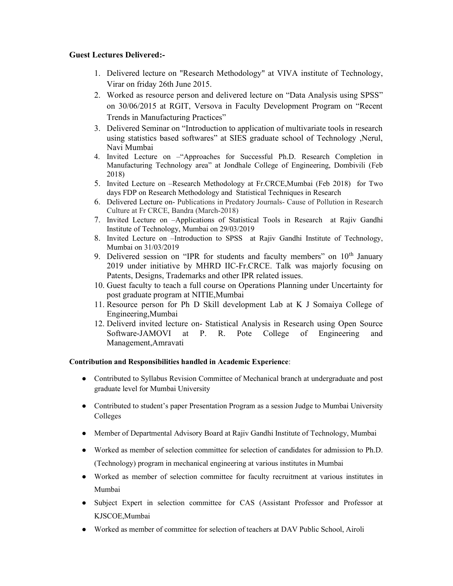# Guest Lectures Delivered:-

- 1. Delivered lecture on "Research Methodology" at VIVA institute of Technology, Virar on friday 26th June 2015.
- 2. Worked as resource person and delivered lecture on "Data Analysis using SPSS" on 30/06/2015 at RGIT, Versova in Faculty Development Program on "Recent Trends in Manufacturing Practices"
- 3. Delivered Seminar on "Introduction to application of multivariate tools in research using statistics based softwares" at SIES graduate school of Technology ,Nerul, Navi Mumbai
- 4. Invited Lecture on –"Approaches for Successful Ph.D. Research Completion in Manufacturing Technology area" at Jondhale College of Engineering, Dombivili (Feb 2018)
- 5. Invited Lecture on –Research Methodology at Fr.CRCE,Mumbai (Feb 2018) for Two days FDP on Research Methodology and Statistical Techniques in Research
- 6. Delivered Lecture on- Publications in Predatory Journals- Cause of Pollution in Research Culture at Fr CRCE, Bandra (March-2018)
- 7. Invited Lecture on –Applications of Statistical Tools in Research at Rajiv Gandhi Institute of Technology, Mumbai on 29/03/2019
- 8. Invited Lecture on –Introduction to SPSS at Rajiv Gandhi Institute of Technology, Mumbai on 31/03/2019
- 9. Delivered session on "IPR for students and faculty members" on 10<sup>th</sup> January 2019 under initiative by MHRD IIC-Fr.CRCE. Talk was majorly focusing on Patents, Designs, Trademarks and other IPR related issues.
- 10. Guest faculty to teach a full course on Operations Planning under Uncertainty for post graduate program at NITIE,Mumbai
- 11. Resource person for Ph D Skill development Lab at K J Somaiya College of Engineering,Mumbai
- 12. Deliverd invited lecture on- Statistical Analysis in Research using Open Source Software-JAMOVI at P. R. Pote College of Engineering and Management,Amravati

### Contribution and Responsibilities handled in Academic Experience:

- Contributed to Syllabus Revision Committee of Mechanical branch at undergraduate and post graduate level for Mumbai University
- Contributed to student's paper Presentation Program as a session Judge to Mumbai University Colleges
- Member of Departmental Advisory Board at Rajiv Gandhi Institute of Technology, Mumbai
- Worked as member of selection committee for selection of candidates for admission to Ph.D. (Technology) program in mechanical engineering at various institutes in Mumbai
- Worked as member of selection committee for faculty recruitment at various institutes in Mumbai
- Subject Expert in selection committee for CAS (Assistant Professor and Professor at KJSCOE,Mumbai
- Worked as member of committee for selection of teachers at DAV Public School, Airoli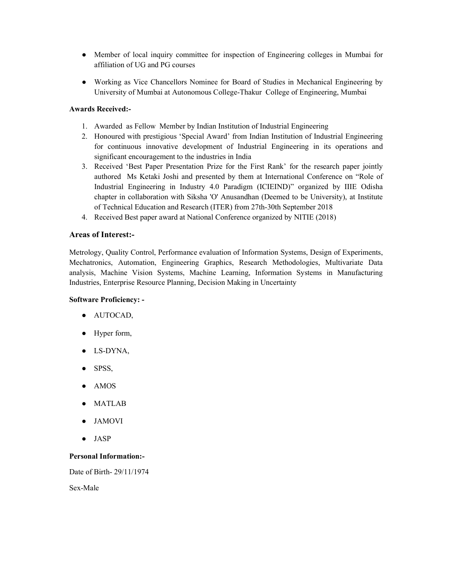- Member of local inquiry committee for inspection of Engineering colleges in Mumbai for affiliation of UG and PG courses
- Working as Vice Chancellors Nominee for Board of Studies in Mechanical Engineering by University of Mumbai at Autonomous College-Thakur College of Engineering, Mumbai

#### Awards Received:-

- 1. Awarded as Fellow Member by Indian Institution of Industrial Engineering
- 2. Honoured with prestigious 'Special Award' from Indian Institution of Industrial Engineering for continuous innovative development of Industrial Engineering in its operations and significant encouragement to the industries in India
- 3. Received 'Best Paper Presentation Prize for the First Rank' for the research paper jointly authored Ms Ketaki Joshi and presented by them at International Conference on "Role of Industrial Engineering in Industry 4.0 Paradigm (ICIEIND)" organized by IIIE Odisha chapter in collaboration with Siksha 'O' Anusandhan (Deemed to be University), at Institute of Technical Education and Research (ITER) from 27th-30th September 2018
- 4. Received Best paper award at National Conference organized by NITIE (2018)

#### Areas of Interest:-

Metrology, Quality Control, Performance evaluation of Information Systems, Design of Experiments, Mechatronics, Automation, Engineering Graphics, Research Methodologies, Multivariate Data analysis, Machine Vision Systems, Machine Learning, Information Systems in Manufacturing Industries, Enterprise Resource Planning, Decision Making in Uncertainty

#### Software Proficiency: -

- AUTOCAD,
- Hyper form,
- LS-DYNA,
- SPSS,
- AMOS
- **MATLAB**
- **JAMOVI**
- JASP

#### Personal Information:-

Date of Birth- 29/11/1974

Sex-Male